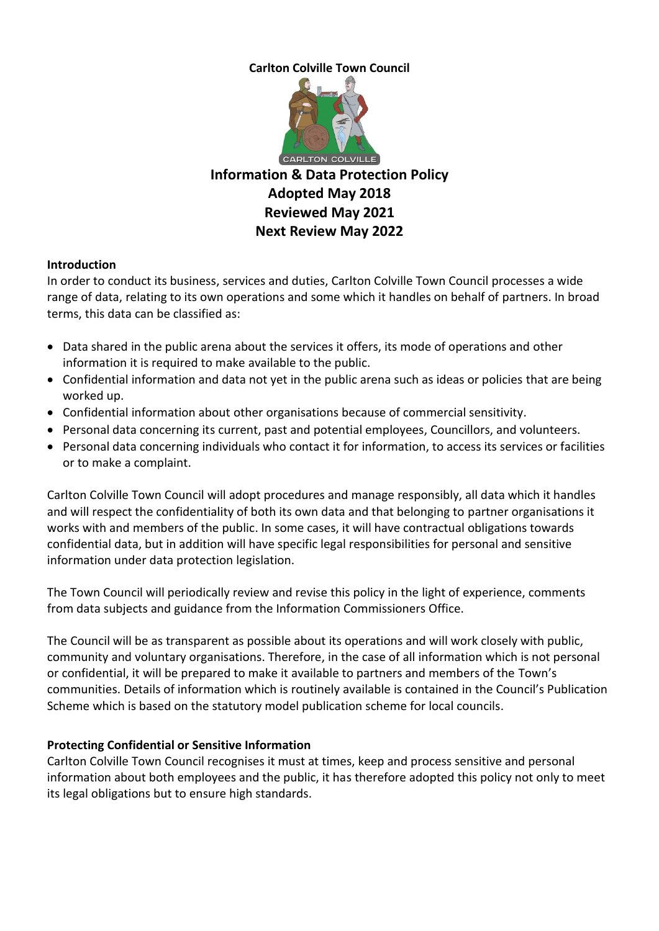## **Carlton Colville Town Council**



#### **Introduction**

In order to conduct its business, services and duties, Carlton Colville Town Council processes a wide range of data, relating to its own operations and some which it handles on behalf of partners. In broad terms, this data can be classified as:

- Data shared in the public arena about the services it offers, its mode of operations and other information it is required to make available to the public.
- Confidential information and data not yet in the public arena such as ideas or policies that are being worked up.
- Confidential information about other organisations because of commercial sensitivity.
- Personal data concerning its current, past and potential employees, Councillors, and volunteers.
- Personal data concerning individuals who contact it for information, to access its services or facilities or to make a complaint.

Carlton Colville Town Council will adopt procedures and manage responsibly, all data which it handles and will respect the confidentiality of both its own data and that belonging to partner organisations it works with and members of the public. In some cases, it will have contractual obligations towards confidential data, but in addition will have specific legal responsibilities for personal and sensitive information under data protection legislation.

The Town Council will periodically review and revise this policy in the light of experience, comments from data subjects and guidance from the Information Commissioners Office.

The Council will be as transparent as possible about its operations and will work closely with public, community and voluntary organisations. Therefore, in the case of all information which is not personal or confidential, it will be prepared to make it available to partners and members of the Town's communities. Details of information which is routinely available is contained in the Council's Publication Scheme which is based on the statutory model publication scheme for local councils.

## **Protecting Confidential or Sensitive Information**

Carlton Colville Town Council recognises it must at times, keep and process sensitive and personal information about both employees and the public, it has therefore adopted this policy not only to meet its legal obligations but to ensure high standards.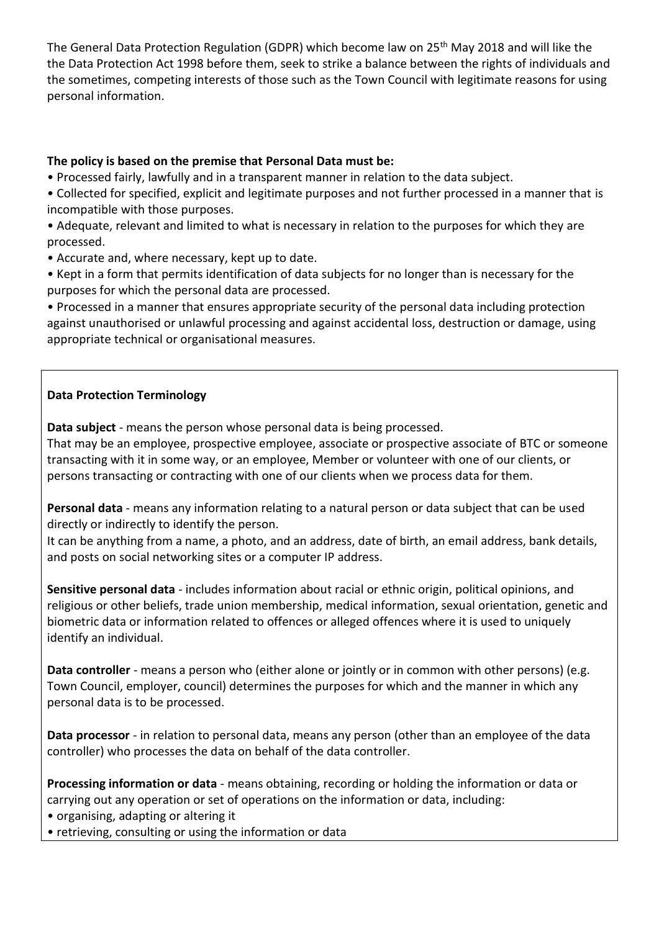The General Data Protection Regulation (GDPR) which become law on 25<sup>th</sup> May 2018 and will like the the Data Protection Act 1998 before them, seek to strike a balance between the rights of individuals and the sometimes, competing interests of those such as the Town Council with legitimate reasons for using personal information.

## **The policy is based on the premise that Personal Data must be:**

• Processed fairly, lawfully and in a transparent manner in relation to the data subject.

• Collected for specified, explicit and legitimate purposes and not further processed in a manner that is incompatible with those purposes.

• Adequate, relevant and limited to what is necessary in relation to the purposes for which they are processed.

• Accurate and, where necessary, kept up to date.

• Kept in a form that permits identification of data subjects for no longer than is necessary for the purposes for which the personal data are processed.

• Processed in a manner that ensures appropriate security of the personal data including protection against unauthorised or unlawful processing and against accidental loss, destruction or damage, using appropriate technical or organisational measures.

## **Data Protection Terminology**

**Data subject** - means the person whose personal data is being processed.

That may be an employee, prospective employee, associate or prospective associate of BTC or someone transacting with it in some way, or an employee, Member or volunteer with one of our clients, or persons transacting or contracting with one of our clients when we process data for them.

**Personal data** - means any information relating to a natural person or data subject that can be used directly or indirectly to identify the person.

It can be anything from a name, a photo, and an address, date of birth, an email address, bank details, and posts on social networking sites or a computer IP address.

**Sensitive personal data** - includes information about racial or ethnic origin, political opinions, and religious or other beliefs, trade union membership, medical information, sexual orientation, genetic and biometric data or information related to offences or alleged offences where it is used to uniquely identify an individual.

**Data controller** - means a person who (either alone or jointly or in common with other persons) (e.g. Town Council, employer, council) determines the purposes for which and the manner in which any personal data is to be processed.

**Data processor** - in relation to personal data, means any person (other than an employee of the data controller) who processes the data on behalf of the data controller.

**Processing information or data** - means obtaining, recording or holding the information or data or carrying out any operation or set of operations on the information or data, including:

• organising, adapting or altering it

• retrieving, consulting or using the information or data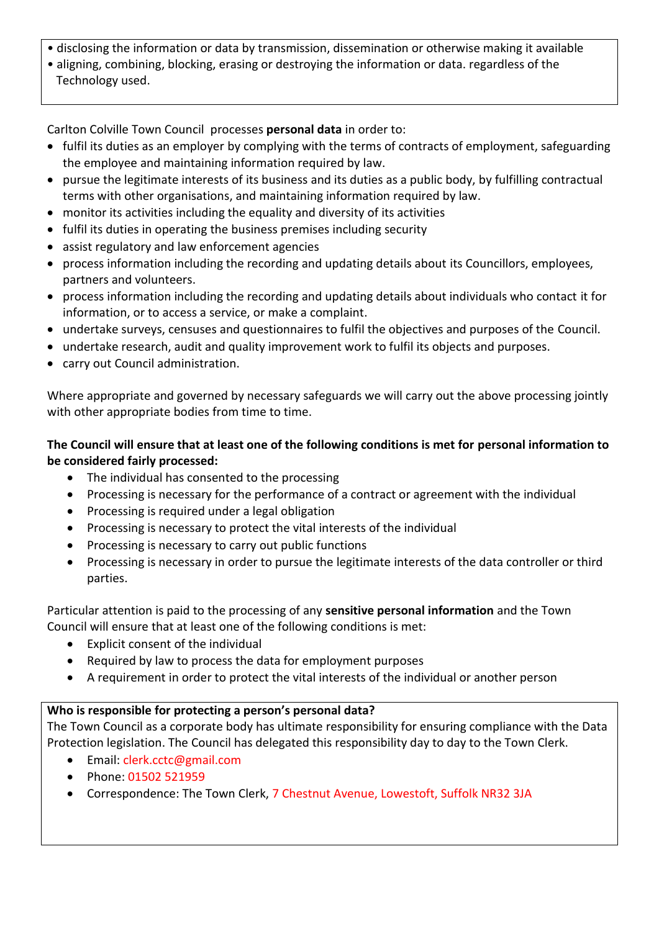- disclosing the information or data by transmission, dissemination or otherwise making it available
- aligning, combining, blocking, erasing or destroying the information or data. regardless of the Technology used.

Carlton Colville Town Council processes **personal data** in order to:

- fulfil its duties as an employer by complying with the terms of contracts of employment, safeguarding the employee and maintaining information required by law.
- pursue the legitimate interests of its business and its duties as a public body, by fulfilling contractual terms with other organisations, and maintaining information required by law.
- monitor its activities including the equality and diversity of its activities
- fulfil its duties in operating the business premises including security
- assist regulatory and law enforcement agencies
- process information including the recording and updating details about its Councillors, employees, partners and volunteers.
- process information including the recording and updating details about individuals who contact it for information, or to access a service, or make a complaint.
- undertake surveys, censuses and questionnaires to fulfil the objectives and purposes of the Council.
- undertake research, audit and quality improvement work to fulfil its objects and purposes.
- carry out Council administration.

Where appropriate and governed by necessary safeguards we will carry out the above processing jointly with other appropriate bodies from time to time.

# **The Council will ensure that at least one of the following conditions is met for personal information to be considered fairly processed:**

- The individual has consented to the processing
- Processing is necessary for the performance of a contract or agreement with the individual
- Processing is required under a legal obligation
- Processing is necessary to protect the vital interests of the individual
- Processing is necessary to carry out public functions
- Processing is necessary in order to pursue the legitimate interests of the data controller or third parties.

Particular attention is paid to the processing of any **sensitive personal information** and the Town Council will ensure that at least one of the following conditions is met:

- Explicit consent of the individual
- Required by law to process the data for employment purposes
- A requirement in order to protect the vital interests of the individual or another person

# **Who is responsible for protecting a person's personal data?**

The Town Council as a corporate body has ultimate responsibility for ensuring compliance with the Data Protection legislation. The Council has delegated this responsibility day to day to the Town Clerk.

- Email: clerk.cctc@gmail.com
- Phone: 01502 521959
- Correspondence: The Town Clerk, 7 Chestnut Avenue, Lowestoft, Suffolk NR32 3JA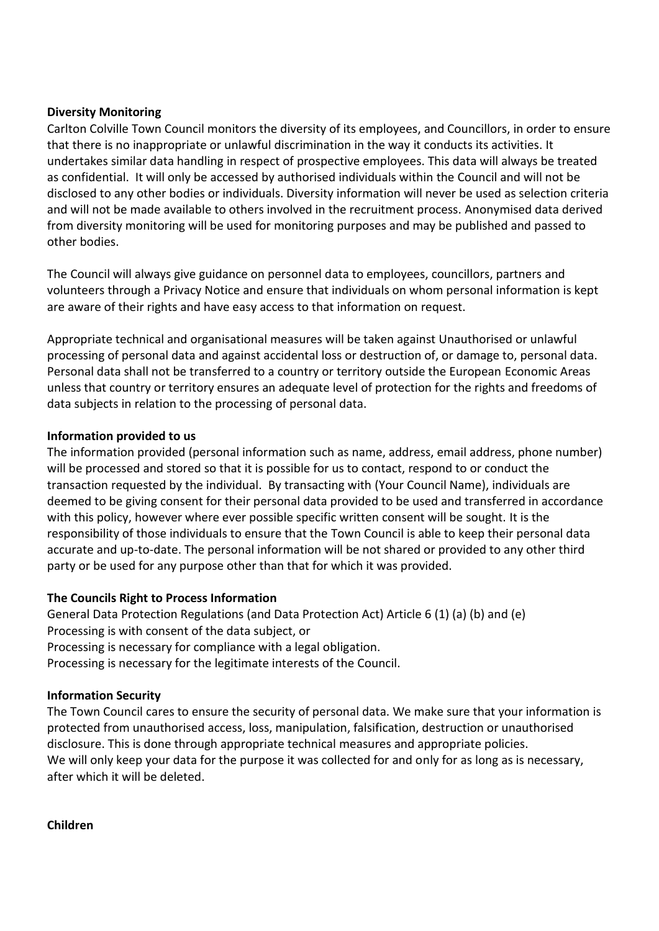#### **Diversity Monitoring**

Carlton Colville Town Council monitors the diversity of its employees, and Councillors, in order to ensure that there is no inappropriate or unlawful discrimination in the way it conducts its activities. It undertakes similar data handling in respect of prospective employees. This data will always be treated as confidential. It will only be accessed by authorised individuals within the Council and will not be disclosed to any other bodies or individuals. Diversity information will never be used as selection criteria and will not be made available to others involved in the recruitment process. Anonymised data derived from diversity monitoring will be used for monitoring purposes and may be published and passed to other bodies.

The Council will always give guidance on personnel data to employees, councillors, partners and volunteers through a Privacy Notice and ensure that individuals on whom personal information is kept are aware of their rights and have easy access to that information on request.

Appropriate technical and organisational measures will be taken against Unauthorised or unlawful processing of personal data and against accidental loss or destruction of, or damage to, personal data. Personal data shall not be transferred to a country or territory outside the European Economic Areas unless that country or territory ensures an adequate level of protection for the rights and freedoms of data subjects in relation to the processing of personal data.

#### **Information provided to us**

The information provided (personal information such as name, address, email address, phone number) will be processed and stored so that it is possible for us to contact, respond to or conduct the transaction requested by the individual. By transacting with (Your Council Name), individuals are deemed to be giving consent for their personal data provided to be used and transferred in accordance with this policy, however where ever possible specific written consent will be sought. It is the responsibility of those individuals to ensure that the Town Council is able to keep their personal data accurate and up-to-date. The personal information will be not shared or provided to any other third party or be used for any purpose other than that for which it was provided.

## **The Councils Right to Process Information**

General Data Protection Regulations (and Data Protection Act) Article 6 (1) (a) (b) and (e) Processing is with consent of the data subject, or Processing is necessary for compliance with a legal obligation. Processing is necessary for the legitimate interests of the Council.

## **Information Security**

The Town Council cares to ensure the security of personal data. We make sure that your information is protected from unauthorised access, loss, manipulation, falsification, destruction or unauthorised disclosure. This is done through appropriate technical measures and appropriate policies. We will only keep your data for the purpose it was collected for and only for as long as is necessary, after which it will be deleted.

**Children**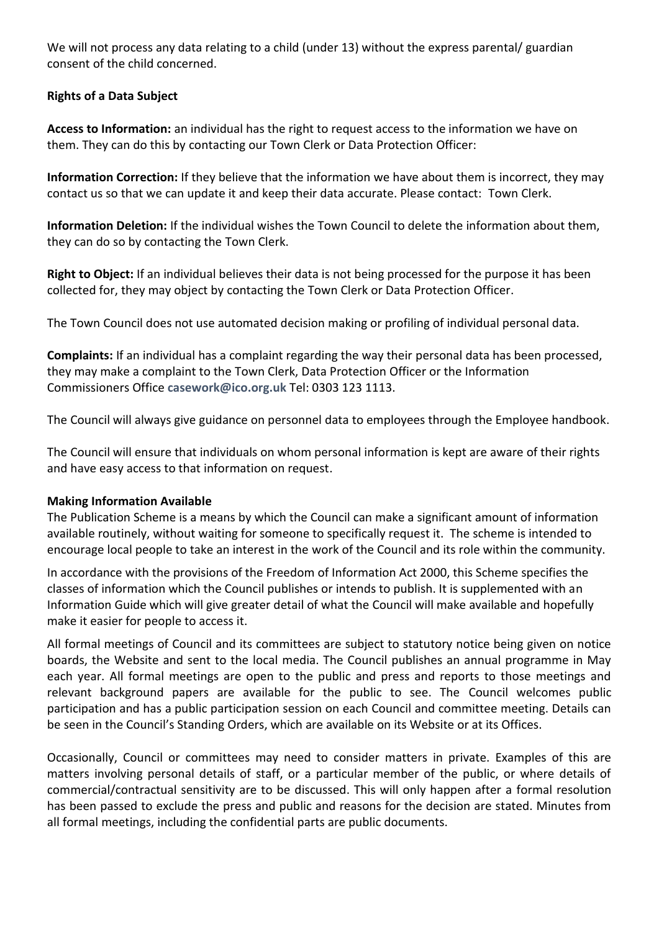We will not process any data relating to a child (under 13) without the express parental/ guardian consent of the child concerned.

## **Rights of a Data Subject**

**Access to Information:** an individual has the right to request access to the information we have on them. They can do this by contacting our Town Clerk or Data Protection Officer:

**Information Correction:** If they believe that the information we have about them is incorrect, they may contact us so that we can update it and keep their data accurate. Please contact: Town Clerk.

**Information Deletion:** If the individual wishes the Town Council to delete the information about them, they can do so by contacting the Town Clerk.

**Right to Object:** If an individual believes their data is not being processed for the purpose it has been collected for, they may object by contacting the Town Clerk or Data Protection Officer.

The Town Council does not use automated decision making or profiling of individual personal data.

**Complaints:** If an individual has a complaint regarding the way their personal data has been processed, they may make a complaint to the Town Clerk, Data Protection Officer or the Information Commissioners Office **[casework@ico.org.uk](mailto:casework@ico.org.uk)** Tel: 0303 123 1113.

The Council will always give guidance on personnel data to employees through the Employee handbook.

The Council will ensure that individuals on whom personal information is kept are aware of their rights and have easy access to that information on request.

## **Making Information Available**

The Publication Scheme is a means by which the Council can make a significant amount of information available routinely, without waiting for someone to specifically request it. The scheme is intended to encourage local people to take an interest in the work of the Council and its role within the community.

In accordance with the provisions of the Freedom of Information Act 2000, this Scheme specifies the classes of information which the Council publishes or intends to publish. It is supplemented with an Information Guide which will give greater detail of what the Council will make available and hopefully make it easier for people to access it.

All formal meetings of Council and its committees are subject to statutory notice being given on notice boards, the Website and sent to the local media. The Council publishes an annual programme in May each year. All formal meetings are open to the public and press and reports to those meetings and relevant background papers are available for the public to see. The Council welcomes public participation and has a public participation session on each Council and committee meeting. Details can be seen in the Council's Standing Orders, which are available on its Website or at its Offices.

Occasionally, Council or committees may need to consider matters in private. Examples of this are matters involving personal details of staff, or a particular member of the public, or where details of commercial/contractual sensitivity are to be discussed. This will only happen after a formal resolution has been passed to exclude the press and public and reasons for the decision are stated. Minutes from all formal meetings, including the confidential parts are public documents.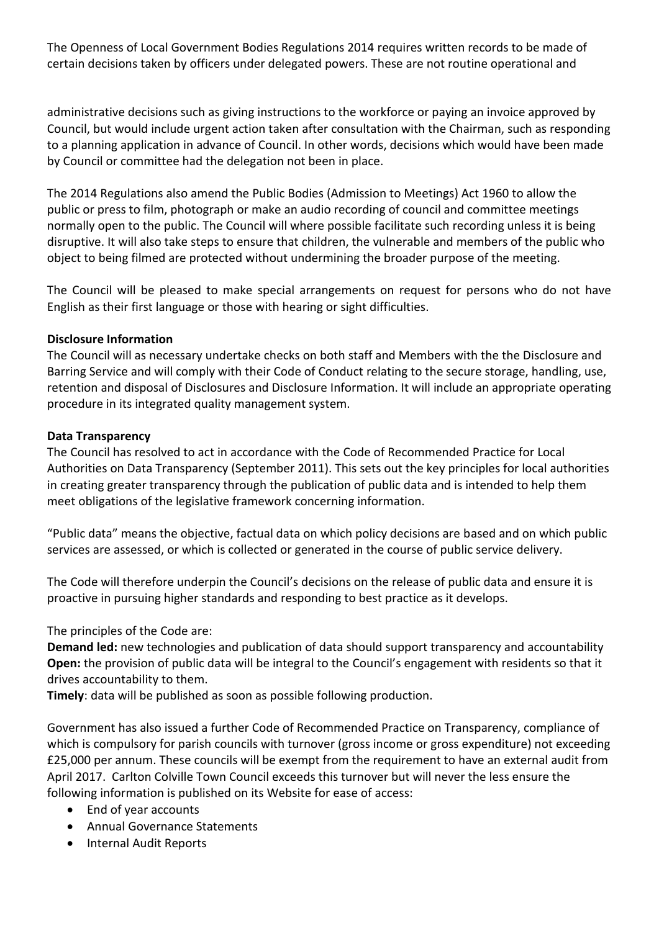The Openness of Local Government Bodies Regulations 2014 requires written records to be made of certain decisions taken by officers under delegated powers. These are not routine operational and

administrative decisions such as giving instructions to the workforce or paying an invoice approved by Council, but would include urgent action taken after consultation with the Chairman, such as responding to a planning application in advance of Council. In other words, decisions which would have been made by Council or committee had the delegation not been in place.

The 2014 Regulations also amend the Public Bodies (Admission to Meetings) Act 1960 to allow the public or press to film, photograph or make an audio recording of council and committee meetings normally open to the public. The Council will where possible facilitate such recording unless it is being disruptive. It will also take steps to ensure that children, the vulnerable and members of the public who object to being filmed are protected without undermining the broader purpose of the meeting.

The Council will be pleased to make special arrangements on request for persons who do not have English as their first language or those with hearing or sight difficulties.

#### **Disclosure Information**

The Council will as necessary undertake checks on both staff and Members with the the Disclosure and Barring Service and will comply with their Code of Conduct relating to the secure storage, handling, use, retention and disposal of Disclosures and Disclosure Information. It will include an appropriate operating procedure in its integrated quality management system.

#### **Data Transparency**

The Council has resolved to act in accordance with the Code of Recommended Practice for Local Authorities on Data Transparency (September 2011). This sets out the key principles for local authorities in creating greater transparency through the publication of public data and is intended to help them meet obligations of the legislative framework concerning information.

"Public data" means the objective, factual data on which policy decisions are based and on which public services are assessed, or which is collected or generated in the course of public service delivery.

The Code will therefore underpin the Council's decisions on the release of public data and ensure it is proactive in pursuing higher standards and responding to best practice as it develops.

The principles of the Code are:

**Demand led:** new technologies and publication of data should support transparency and accountability **Open:** the provision of public data will be integral to the Council's engagement with residents so that it drives accountability to them.

**Timely**: data will be published as soon as possible following production.

Government has also issued a further Code of Recommended Practice on Transparency, compliance of which is compulsory for parish councils with turnover (gross income or gross expenditure) not exceeding £25,000 per annum. These councils will be exempt from the requirement to have an external audit from April 2017. Carlton Colville Town Council exceeds this turnover but will never the less ensure the following information is published on its Website for ease of access:

- End of year accounts
- Annual Governance Statements
- Internal Audit Reports